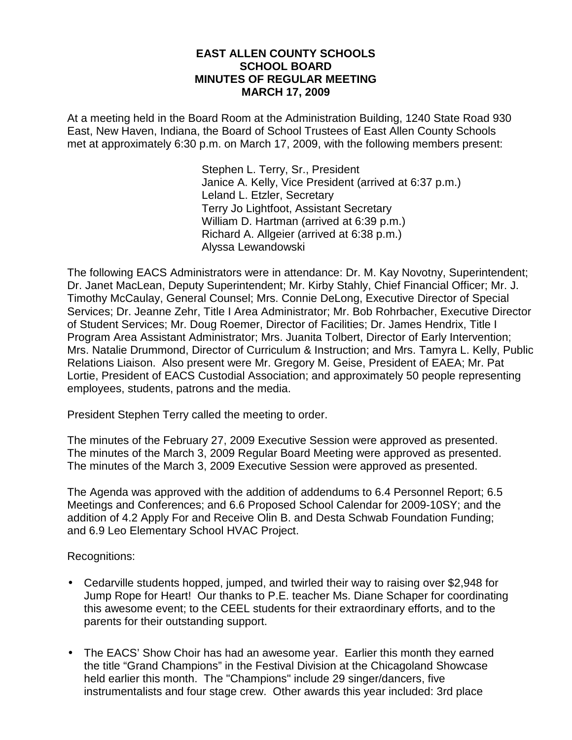### **EAST ALLEN COUNTY SCHOOLS SCHOOL BOARD MINUTES OF REGULAR MEETING MARCH 17, 2009**

At a meeting held in the Board Room at the Administration Building, 1240 State Road 930 East, New Haven, Indiana, the Board of School Trustees of East Allen County Schools met at approximately 6:30 p.m. on March 17, 2009, with the following members present:

> Stephen L. Terry, Sr., President Janice A. Kelly, Vice President (arrived at 6:37 p.m.) Leland L. Etzler, Secretary Terry Jo Lightfoot, Assistant Secretary William D. Hartman (arrived at 6:39 p.m.) Richard A. Allgeier (arrived at 6:38 p.m.) Alyssa Lewandowski

The following EACS Administrators were in attendance: Dr. M. Kay Novotny, Superintendent; Dr. Janet MacLean, Deputy Superintendent; Mr. Kirby Stahly, Chief Financial Officer; Mr. J. Timothy McCaulay, General Counsel; Mrs. Connie DeLong, Executive Director of Special Services; Dr. Jeanne Zehr, Title I Area Administrator; Mr. Bob Rohrbacher, Executive Director of Student Services; Mr. Doug Roemer, Director of Facilities; Dr. James Hendrix, Title I Program Area Assistant Administrator; Mrs. Juanita Tolbert, Director of Early Intervention; Mrs. Natalie Drummond, Director of Curriculum & Instruction; and Mrs. Tamyra L. Kelly, Public Relations Liaison. Also present were Mr. Gregory M. Geise, President of EAEA; Mr. Pat Lortie, President of EACS Custodial Association; and approximately 50 people representing employees, students, patrons and the media.

President Stephen Terry called the meeting to order.

The minutes of the February 27, 2009 Executive Session were approved as presented. The minutes of the March 3, 2009 Regular Board Meeting were approved as presented. The minutes of the March 3, 2009 Executive Session were approved as presented.

The Agenda was approved with the addition of addendums to 6.4 Personnel Report; 6.5 Meetings and Conferences; and 6.6 Proposed School Calendar for 2009-10SY; and the addition of 4.2 Apply For and Receive Olin B. and Desta Schwab Foundation Funding; and 6.9 Leo Elementary School HVAC Project.

Recognitions:

- Cedarville students hopped, jumped, and twirled their way to raising over \$2,948 for Jump Rope for Heart! Our thanks to P.E. teacher Ms. Diane Schaper for coordinating this awesome event; to the CEEL students for their extraordinary efforts, and to the parents for their outstanding support.
- The EACS' Show Choir has had an awesome year. Earlier this month they earned the title "Grand Champions" in the Festival Division at the Chicagoland Showcase held earlier this month. The "Champions" include 29 singer/dancers, five instrumentalists and four stage crew. Other awards this year included: 3rd place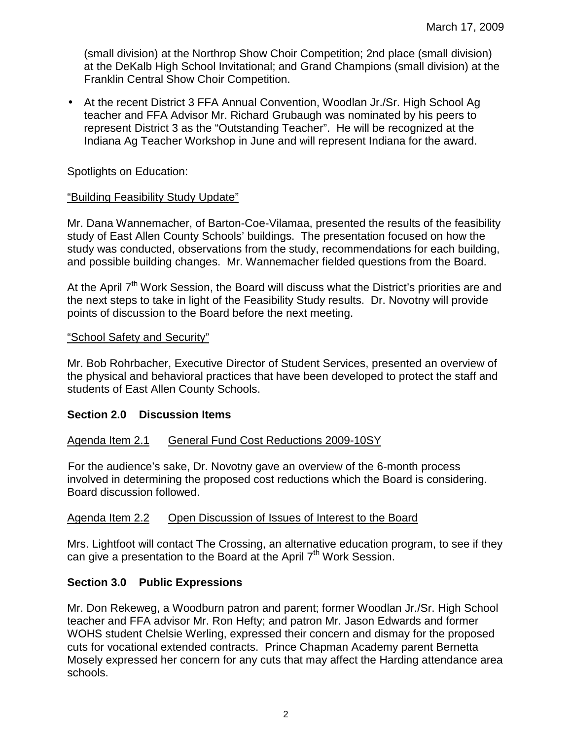(small division) at the Northrop Show Choir Competition; 2nd place (small division) at the DeKalb High School Invitational; and Grand Champions (small division) at the Franklin Central Show Choir Competition.

• At the recent District 3 FFA Annual Convention, Woodlan Jr./Sr. High School Ag teacher and FFA Advisor Mr. Richard Grubaugh was nominated by his peers to represent District 3 as the "Outstanding Teacher". He will be recognized at the Indiana Ag Teacher Workshop in June and will represent Indiana for the award.

## Spotlights on Education:

## "Building Feasibility Study Update"

Mr. Dana Wannemacher, of Barton-Coe-Vilamaa, presented the results of the feasibility study of East Allen County Schools' buildings. The presentation focused on how the study was conducted, observations from the study, recommendations for each building, and possible building changes. Mr. Wannemacher fielded questions from the Board.

At the April  $7<sup>th</sup>$  Work Session, the Board will discuss what the District's priorities are and the next steps to take in light of the Feasibility Study results. Dr. Novotny will provide points of discussion to the Board before the next meeting.

## "School Safety and Security"

Mr. Bob Rohrbacher, Executive Director of Student Services, presented an overview of the physical and behavioral practices that have been developed to protect the staff and students of East Allen County Schools.

## **Section 2.0 Discussion Items**

## Agenda Item 2.1 General Fund Cost Reductions 2009-10SY

 For the audience's sake, Dr. Novotny gave an overview of the 6-month process involved in determining the proposed cost reductions which the Board is considering. Board discussion followed.

## Agenda Item 2.2 Open Discussion of Issues of Interest to the Board

Mrs. Lightfoot will contact The Crossing, an alternative education program, to see if they can give a presentation to the Board at the April  $7<sup>th</sup>$  Work Session.

## **Section 3.0 Public Expressions**

Mr. Don Rekeweg, a Woodburn patron and parent; former Woodlan Jr./Sr. High School teacher and FFA advisor Mr. Ron Hefty; and patron Mr. Jason Edwards and former WOHS student Chelsie Werling, expressed their concern and dismay for the proposed cuts for vocational extended contracts. Prince Chapman Academy parent Bernetta Mosely expressed her concern for any cuts that may affect the Harding attendance area schools.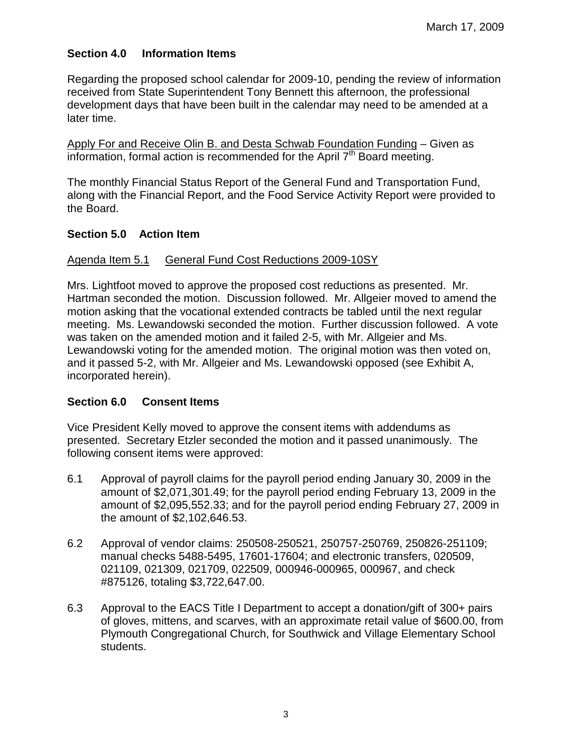# **Section 4.0 Information Items**

Regarding the proposed school calendar for 2009-10, pending the review of information received from State Superintendent Tony Bennett this afternoon, the professional development days that have been built in the calendar may need to be amended at a later time.

Apply For and Receive Olin B. and Desta Schwab Foundation Funding – Given as information, formal action is recommended for the April  $7<sup>th</sup>$  Board meeting.

The monthly Financial Status Report of the General Fund and Transportation Fund, along with the Financial Report, and the Food Service Activity Report were provided to the Board.

## **Section 5.0 Action Item**

### Agenda Item 5.1 General Fund Cost Reductions 2009-10SY

Mrs. Lightfoot moved to approve the proposed cost reductions as presented. Mr. Hartman seconded the motion. Discussion followed. Mr. Allgeier moved to amend the motion asking that the vocational extended contracts be tabled until the next regular meeting. Ms. Lewandowski seconded the motion. Further discussion followed. A vote was taken on the amended motion and it failed 2-5, with Mr. Allgeier and Ms. Lewandowski voting for the amended motion. The original motion was then voted on, and it passed 5-2, with Mr. Allgeier and Ms. Lewandowski opposed (see Exhibit A, incorporated herein).

## **Section 6.0 Consent Items**

Vice President Kelly moved to approve the consent items with addendums as presented. Secretary Etzler seconded the motion and it passed unanimously. The following consent items were approved:

- 6.1 Approval of payroll claims for the payroll period ending January 30, 2009 in the amount of \$2,071,301.49; for the payroll period ending February 13, 2009 in the amount of \$2,095,552.33; and for the payroll period ending February 27, 2009 in the amount of \$2,102,646.53.
- 6.2 Approval of vendor claims: 250508-250521, 250757-250769, 250826-251109; manual checks 5488-5495, 17601-17604; and electronic transfers, 020509, 021109, 021309, 021709, 022509, 000946-000965, 000967, and check #875126, totaling \$3,722,647.00.
- 6.3 Approval to the EACS Title I Department to accept a donation/gift of 300+ pairs of gloves, mittens, and scarves, with an approximate retail value of \$600.00, from Plymouth Congregational Church, for Southwick and Village Elementary School students.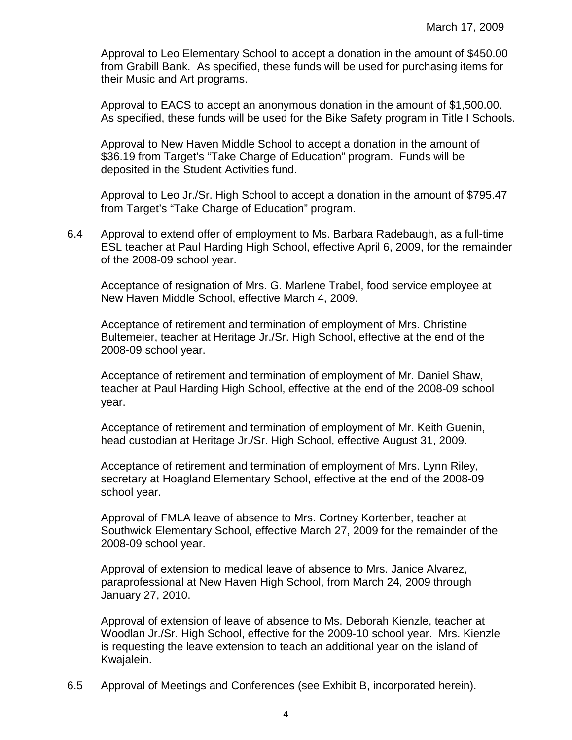Approval to Leo Elementary School to accept a donation in the amount of \$450.00 from Grabill Bank. As specified, these funds will be used for purchasing items for their Music and Art programs.

 Approval to EACS to accept an anonymous donation in the amount of \$1,500.00. As specified, these funds will be used for the Bike Safety program in Title I Schools.

 Approval to New Haven Middle School to accept a donation in the amount of \$36.19 from Target's "Take Charge of Education" program. Funds will be deposited in the Student Activities fund.

 Approval to Leo Jr./Sr. High School to accept a donation in the amount of \$795.47 from Target's "Take Charge of Education" program.

6.4 Approval to extend offer of employment to Ms. Barbara Radebaugh, as a full-time ESL teacher at Paul Harding High School, effective April 6, 2009, for the remainder of the 2008-09 school year.

 Acceptance of resignation of Mrs. G. Marlene Trabel, food service employee at New Haven Middle School, effective March 4, 2009.

 Acceptance of retirement and termination of employment of Mrs. Christine Bultemeier, teacher at Heritage Jr./Sr. High School, effective at the end of the 2008-09 school year.

 Acceptance of retirement and termination of employment of Mr. Daniel Shaw, teacher at Paul Harding High School, effective at the end of the 2008-09 school year.

Acceptance of retirement and termination of employment of Mr. Keith Guenin, head custodian at Heritage Jr./Sr. High School, effective August 31, 2009.

Acceptance of retirement and termination of employment of Mrs. Lynn Riley, secretary at Hoagland Elementary School, effective at the end of the 2008-09 school year.

 Approval of FMLA leave of absence to Mrs. Cortney Kortenber, teacher at Southwick Elementary School, effective March 27, 2009 for the remainder of the 2008-09 school year.

Approval of extension to medical leave of absence to Mrs. Janice Alvarez, paraprofessional at New Haven High School, from March 24, 2009 through January 27, 2010.

Approval of extension of leave of absence to Ms. Deborah Kienzle, teacher at Woodlan Jr./Sr. High School, effective for the 2009-10 school year. Mrs. Kienzle is requesting the leave extension to teach an additional year on the island of Kwajalein.

6.5 Approval of Meetings and Conferences (see Exhibit B, incorporated herein).